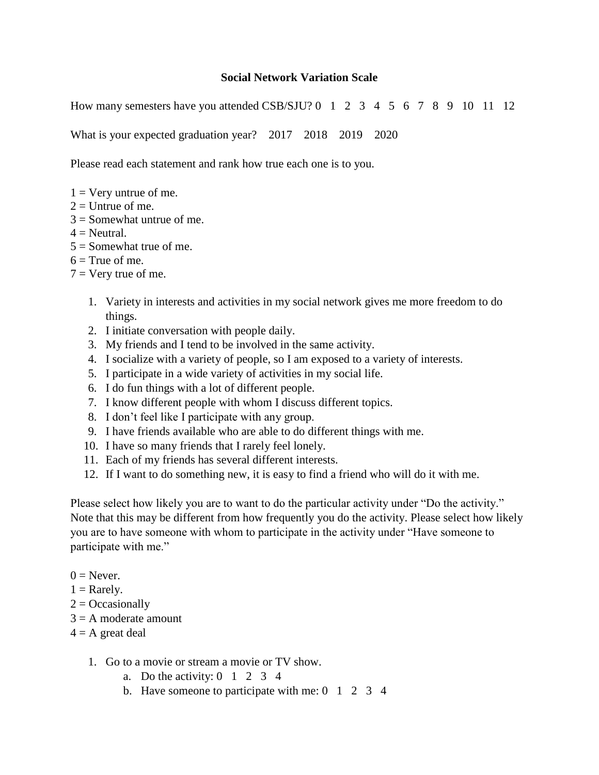## **Social Network Variation Scale**

How many semesters have you attended CSB/SJU? 0 1 2 3 4 5 6 7 8 9 10 11 12

What is your expected graduation year? 2017 2018 2019 2020

Please read each statement and rank how true each one is to you.

- $1 =$  Very untrue of me.
- $2 =$  Untrue of me.
- $3 =$  Somewhat untrue of me.
- $4 =$ Neutral.
- $5 =$ Somewhat true of me.
- $6 =$ True of me.
- $7 = \text{Very true of me.}$ 
	- 1. Variety in interests and activities in my social network gives me more freedom to do things.
	- 2. I initiate conversation with people daily.
	- 3. My friends and I tend to be involved in the same activity.
	- 4. I socialize with a variety of people, so I am exposed to a variety of interests.
	- 5. I participate in a wide variety of activities in my social life.
	- 6. I do fun things with a lot of different people.
	- 7. I know different people with whom I discuss different topics.
	- 8. I don't feel like I participate with any group.
	- 9. I have friends available who are able to do different things with me.
	- 10. I have so many friends that I rarely feel lonely.
	- 11. Each of my friends has several different interests.
	- 12. If I want to do something new, it is easy to find a friend who will do it with me.

Please select how likely you are to want to do the particular activity under "Do the activity." Note that this may be different from how frequently you do the activity. Please select how likely you are to have someone with whom to participate in the activity under "Have someone to participate with me."

- $0 =$  Never.
- $1 =$ Rarely.
- $2 = Occasionally$
- $3 = A$  moderate amount
- $4 = A$  great deal
	- 1. Go to a movie or stream a movie or TV show.
		- a. Do the activity:  $0 \quad 1 \quad 2 \quad 3 \quad 4$
		- b. Have someone to participate with me:  $0 \quad 1 \quad 2 \quad 3 \quad 4$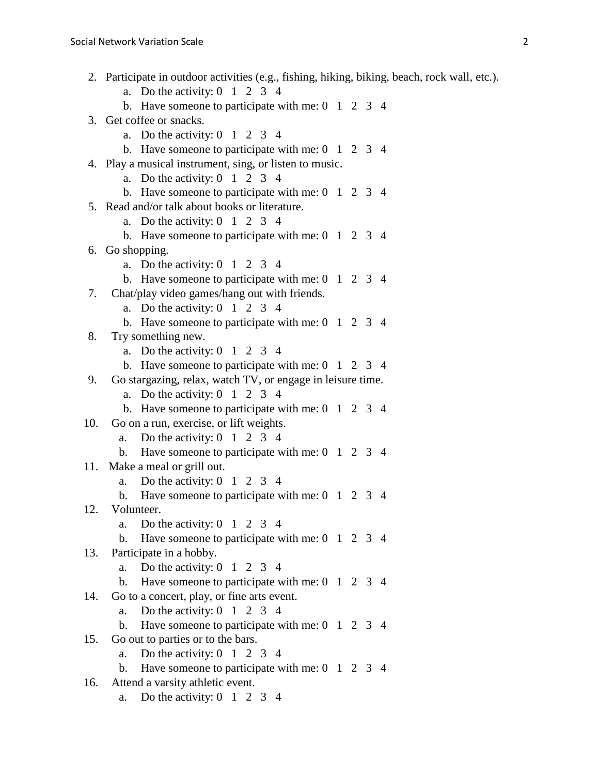- 2. Participate in outdoor activities (e.g., fishing, hiking, biking, beach, rock wall, etc.). a. Do the activity:  $0 \quad 1 \quad 2 \quad 3 \quad 4$ b. Have some one to participate with me:  $0 \quad 1 \quad 2 \quad 3 \quad 4$ 3. Get coffee or snacks. a. Do the activity:  $0 \quad 1 \quad 2 \quad 3 \quad 4$ b. Have some one to participate with me:  $0 \quad 1 \quad 2 \quad 3 \quad 4$ 4. Play a musical instrument, sing, or listen to music. a. Do the activity:  $0 \quad 1 \quad 2 \quad 3 \quad 4$ b. Have some one to participate with me:  $0 \quad 1 \quad 2 \quad 3 \quad 4$ 5. Read and/or talk about books or literature. a. Do the activity:  $0 \quad 1 \quad 2 \quad 3 \quad 4$ b. Have some one to participate with me:  $0 \quad 1 \quad 2 \quad 3 \quad 4$ 6. Go shopping. a. Do the activity:  $0 \quad 1 \quad 2 \quad 3 \quad 4$ b. Have some one to participate with me:  $0 \quad 1 \quad 2 \quad 3 \quad 4$ 7. Chat/play video games/hang out with friends. a. Do the activity:  $0 \quad 1 \quad 2 \quad 3 \quad 4$ b. Have some ne to participate with me:  $0 \quad 1 \quad 2 \quad 3 \quad 4$ 8. Try something new. a. Do the activity:  $0 \quad 1 \quad 2 \quad 3 \quad 4$ b. Have some ne to participate with me:  $0 \quad 1 \quad 2 \quad 3 \quad 4$ 9. Go stargazing, relax, watch TV, or engage in leisure time. a. Do the activity:  $0 \quad 1 \quad 2 \quad 3 \quad 4$ b. Have some one to participate with me:  $0 \quad 1 \quad 2 \quad 3 \quad 4$ 10. Go on a run, exercise, or lift weights. a. Do the activity:  $0 \quad 1 \quad 2 \quad 3 \quad 4$ b. Have someone to participate with me: 0 1 2 3 4 11. Make a meal or grill out. a. Do the activity:  $0 \quad 1 \quad 2 \quad 3 \quad 4$ b. Have someone to participate with me: 0 1 2 3 4 12. Volunteer. a. Do the activity:  $0 \quad 1 \quad 2 \quad 3 \quad 4$ b. Have some one to participate with me:  $0 \quad 1 \quad 2 \quad 3 \quad 4$ 13. Participate in a hobby. a. Do the activity:  $0 \quad 1 \quad 2 \quad 3 \quad 4$ b. Have some one to participate with me:  $0 \quad 1 \quad 2 \quad 3 \quad 4$ 14. Go to a concert, play, or fine arts event. a. Do the activity:  $0 \quad 1 \quad 2 \quad 3 \quad 4$ b. Have someone to participate with me: 0 1 2 3 4 15. Go out to parties or to the bars. a. Do the activity:  $0 \quad 1 \quad 2 \quad 3 \quad 4$ b. Have someone to participate with me: 0 1 2 3 4 16. Attend a varsity athletic event.
	- a. Do the activity:  $0 \quad 1 \quad 2 \quad 3 \quad 4$